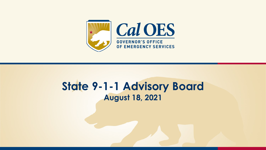

#### **State 9-1-1 Advisory Board August 18, 2021**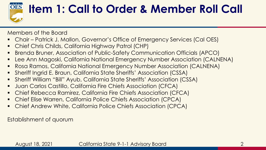

## **Item 1: Call to Order & Member Roll Call**

Members of the Board

- Chair Patrick J. Mallon, Governor's Office of Emergency Services (Cal OES)
- Chief Chris Childs, California Highway Patrol (CHP)
- Brenda Bruner, Association of Public-Safety Communication Officials (APCO)
- Lee Ann Magoski, California National Emergency Number Association (CALNENA)
- Rosa Ramos, California National Emergency Number Association (CALNENA)
- Sheriff Ingrid E. Braun, California State Sheriffs' Association (CSSA)
- Sheriff William "Bill" Ayub, California State Sheriffs' Association (CSSA)
- Juan Carlos Castillo, California Fire Chiefs Association (CFCA)
- Chief Rebecca Ramirez, California Fire Chiefs Association (CFCA)
- Chief Elise Warren, California Police Chiefs Association (CPCA)
- **Chief Andrew White, California Police Chiefs Association (CPCA)**

Establishment of quorum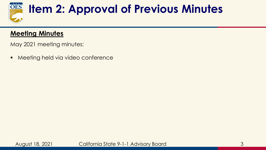

## **Item 2: Approval of Previous Minutes**

#### **Meeting Minutes**

May 2021 meeting minutes:

■ Meeting held via video conference



August 18, 2021 3 California State 9-1-1 Advisory Board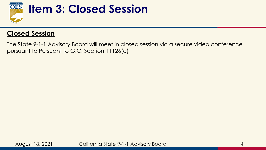

#### **Item 3: Closed Session**

#### **Closed Session**

The State 9-1-1 Advisory Board will meet in closed session via a secure video conference pursuant to Pursuant to G.C. Section 11126(e)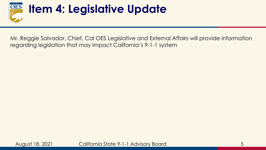

## **Item 4: Legislative Update**

Mr. Reggie Salvador, Chief, Cal OES Legislative and External Affairs will provide information regarding legislation that may impact California's 9-1-1 system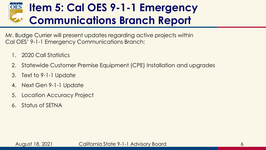#### **Item 5: Cal OES 9-1-1 Emergency OES Communications Branch Report**

Mr. Budge Currier will present updates regarding active projects within Cal OES' 9-1-1 Emergency Communications Branch:

- 1. 2020 Call Statistics
- 2. Statewide Customer Premise Equipment (CPE) Installation and upgrades
- 3. Text to 9-1-1 Update
- 4. Next Gen 9-1-1 Update
- 5. Location Accuracy Project
- 6. Status of SETNA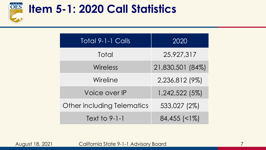

#### **Item 5-1: 2020 Call Statistics**

| <b>Total 9-1-1 Calls</b>   | 2020                  |
|----------------------------|-----------------------|
| Total                      | 25,927,317            |
| Wireless                   | 21,830,501 (84%)      |
| Wireline                   | 2,236,812 (9%)        |
| Voice over IP              | 1,242,522 (5%)        |
| Other including Telematics | 533,027 (2%)          |
| Text to 9-1-1              | $84,455$ $\leq$ $1\%$ |

August 18, 2021 California State 9-1-1 Advisory Board 7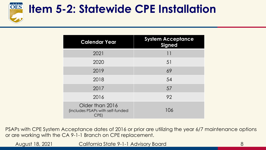

### **Item 5-2: Statewide CPE Installation**

| <b>Calendar Year</b>                                        | <b>System Acceptance</b><br><b>Signed</b> |  |
|-------------------------------------------------------------|-------------------------------------------|--|
| 2021                                                        | 11                                        |  |
| 2020                                                        | 51                                        |  |
| 2019                                                        | 69                                        |  |
| 2018                                                        | 54                                        |  |
| 2017                                                        | 57                                        |  |
| 2016                                                        | 92                                        |  |
| Older than 2016<br>(includes PSAPs with self-funded<br>CPE) | 106                                       |  |

PSAPs with CPE System Acceptance dates of 2016 or prior are utilizing the year 6/7 maintenance options or are working with the CA 9-1-1 Branch on CPE replacement.

August 18, 2021 Galifornia State 9-1-1 Advisory Board Galifornia 8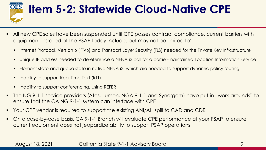

## **Item 5-2: Statewide Cloud-Native CPE**

- All new CPE sales have been suspended until CPE passes contract compliance, current barriers with equipment installed at the PSAP today include, but may not be limited to:
	- Internet Protocol, Version 6 (IPV6) and Transport Layer Security (TLS) needed for the Private Key Infrastructure
	- Unique IP address needed to dereference a NENA i3 call for a carrier-maintained Location Information Service
	- Element state and queue state in native NENA i3, which are needed to support dynamic policy routing
	- Inability to support Real Time Text (RTT)
	- Inability to support conferencing, using REFER
- The NG 9-1-1 service providers (Atos, Lumen, NGA 9-1-1 and Synergem) have put in "work arounds" to ensure that the CA NG 9-1-1 system can interface with CPE
- Your CPE vendor is required to support the existing ANI/ALI spill to CAD and CDR
- On a case-by-case basis, CA 9-1-1 Branch will evaluate CPE performance at your PSAP to ensure current equipment does not jeopardize ability to support PSAP operations

#### August 18, 2021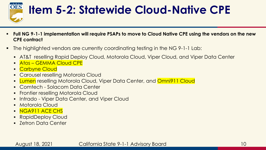

## **Item 5-2: Statewide Cloud-Native CPE**

- **Full NG 9-1-1 implementation will require PSAPs to move to Cloud Native CPE using the vendors on the new CPE contract**
- The highlighted vendors are currently coordinating testing in the NG 9-1-1 Lab:
	- **AT&T reselling Rapid Deploy Cloud, Motorola Cloud, Viper Cloud, and Viper Data Center**
	- Atos GEMMA Cloud CPE
	- Carbyne Cloud
	- Carousel reselling Motorola Cloud
	- **Lumen** reselling Motorola Cloud, Viper Data Center, and **Omni911 Cloud**
	- Comtech Solacom Data Center
	- **Frontier reselling Motorola Cloud**
	- **.** Intrado Viper Data Center, and Viper Cloud
	- **Motorola Cloud**
	- **E** NGA911 ACE CHS
	- RapidDeploy Cloud
	- Zetron Data Center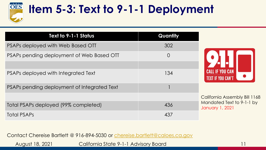

August 18, 2021

## **Item 5-3: Text to 9-1-1 Deployment**

| Text to 9-1-1 Status                        | Quantity       |                                              |
|---------------------------------------------|----------------|----------------------------------------------|
| PSAPs deployed with Web Based OTT           | 302            |                                              |
| PSAPs pending deployment of Web Based OTT   | $\overline{O}$ |                                              |
| PSAPs deployed with Integrated Text         | 134            | <b>TEXT IF YOU CAN'T</b>                     |
| PSAPs pending deployment of Integrated Text |                |                                              |
|                                             |                | California Assembly Bill 1168                |
| Total PSAPs deployed (99% completed)        | 436            | Mandated Text to 9-1-1 by<br>January 1, 2021 |
| <b>Total PSAPs</b>                          | 437            |                                              |

Contact Chereise Bartlett @ 916-894-5030 or [chereise.bartlett@caloes.ca.gov](mailto:Chereise.Bartlett@caloes.ca.gov)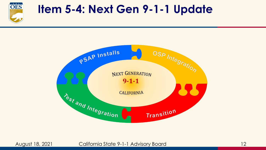

#### **Item 5-4: Next Gen 9-1-1 Update**



August 18, 2021 California State 9-1-1 Advisory Board 12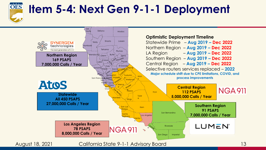

#### **Item 5-4: Next Gen 9-1-1 Deployment**

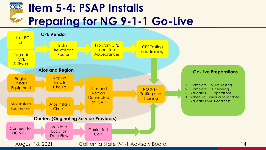#### OES **Item 5-4: PSAP Installs Preparing for NG 9-1-1 Go-Live**

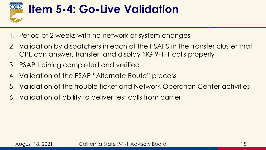

### **Item 5-4: Go-Live Validation**

- 1. Period of 2 weeks with no network or system changes
- 2. Validation by dispatchers in each of the PSAPS in the transfer cluster that CPE can answer, transfer, and display NG 9-1-1 calls properly
- 3. PSAP training completed and verified
- 4. Validation of the PSAP "Alternate Route" process
- 5. Validation of the trouble ticket and Network Operation Center activities
- 6. Validation of ability to deliver test calls from carrier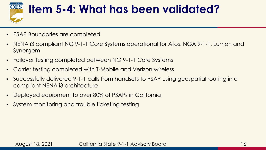

### **Item 5-4: What has been validated?**

- PSAP Boundaries are completed
- NENA i3 compliant NG 9-1-1 Core Systems operational for Atos, NGA 9-1-1, Lumen and Synergem
- Failover testing completed between NG 9-1-1 Core Systems
- Carrier testing completed with T-Mobile and Verizon wireless
- Successfully delivered 9-1-1 calls from handsets to PSAP using geospatial routing in a compliant NENA i3 architecture
- Deployed equipment to over 80% of PSAPs in California
- System monitoring and trouble ticketing testing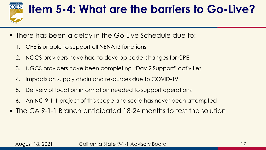

## **Item 5-4: What are the barriers to Go-Live?**

- **.** There has been a delay in the Go-Live Schedule due to:
	- 1. CPE is unable to support all NENA i3 functions
	- 2. NGCS providers have had to develop code changes for CPE
	- 3. NGCS providers have been completing "Day 2 Support" activities
	- 4. Impacts on supply chain and resources due to COVID-19
	- 5. Delivery of location information needed to support operations
	- 6. An NG 9-1-1 project of this scope and scale has never been attempted
- The CA 9-1-1 Branch anticipated 18-24 months to test the solution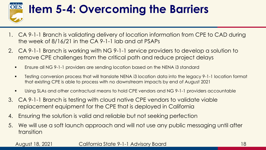

## **Item 5-4: Overcoming the Barriers**

- 1. CA 9-1-1 Branch is validating delivery of location information from CPE to CAD during the week of 8/16/21 in the CA 9-1-1 lab and at PSAPs
- 2. CA 9-1-1 Branch is working with NG 9-1-1 service providers to develop a solution to remove CPE challenges from the critical path and reduce project delays
	- **Ensure all NG 9-1-1 providers are sending location based on the NENA i3 standard**
	- Testing conversion process that will translate NENA i3 location data into the legacy 9-1-1 location format that existing CPE is able to process with no downstream impacts by end of August 2021
	- Using SLAs and other contractual means to hold CPE vendors and NG 9-1-1 providers accountable
- 3. CA 9-1-1 Branch is testing with cloud native CPE vendors to validate viable replacement equipment for the CPE that is deployed in California
- 4. Ensuring the solution is valid and reliable but not seeking perfection
- 5. We will use a soft launch approach and will not use any public messaging until after transition

#### August 18, 2021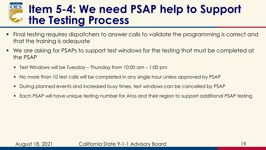#### **Item 5-4: We need PSAP help to Support the Testing Process**

- Final testing requires dispatchers to answer calls to validate the programming is correct and that the training is adequate
- We are asking for PSAPs to support test windows for the testing that must be completed at the PSAP
	- Test Windows will be Tuesday Thursday from  $10:00$  am  $1:00$  pm
	- No more than 10 test calls will be completed in any single hour unless approved by PSAP
	- During planned events and increased busy times, test windows can be cancelled by PSAP
	- Each PSAP will have unique testing number for Atos and their region to support additional PSAP testing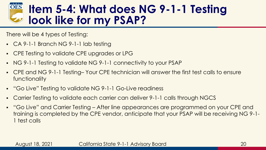#### **Item 5-4: What does NG 9-1-1 Testing look like for my PSAP?**

There will be 4 types of Testing:

- CA 9-1-1 Branch NG 9-1-1 lab testing
- CPE Testing to validate CPE upgrades or LPG
- NG 9-1-1 Testing to validate NG 9-1-1 connectivity to your PSAP
- CPE and NG 9-1-1 Testing– Your CPE technician will answer the first test calls to ensure functionality
- "Go Live" Testing to validate NG 9-1-1 Go-Live readiness
- Carrier Testing to validate each carrier can deliver 9-1-1 calls through NGCS
- "Go Live" and Carrier Testing After line appearances are programmed on your CPE and training is completed by the CPE vendor, anticipate that your PSAP will be receiving NG 9-1- 1 test calls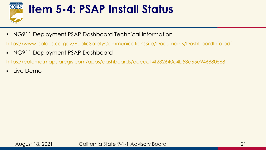

### **Item 5-4: PSAP Install Status**

■ NG911 Deployment PSAP Dashboard Technical Information

<https://www.caloes.ca.gov/PublicSafetyCommunicationsSite/Documents/DashboardInfo.pdf>

▪ NG911 Deployment PSAP Dashboard

<https://calema.maps.arcgis.com/apps/dashboards/edccc14f232640c4b53a65e946880568>

▪ Live Demo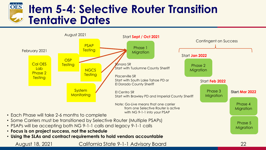#### OES **Item 5-4: Selective Router Transition Tentative Dates**



- PSAPs will be accepting both NG 9-1-1 calls and legacy 9-1-1 calls
- **Focus is on project success, not the schedule**

August 18, 2021

• **Using the SLAs and contract requirements to hold vendors accountable**

California State 9-1-1 Advisory Board

22

**Migration**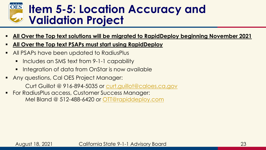

#### **Item 5-5: Location Accuracy and Validation Project**

- **All Over the Top text solutions will be migrated to RapidDeploy beginning November 2021**
- **All Over the Top text PSAPs must start using RapidDeploy**
- All PSAPs have been updated to RadiusPlus
	- Includes an SMS text from 9-1-1 capability
	- **E** Integration of data from OnStar is now available
- Any questions, Cal OES Project Manager:

Curt Guillot @ 916-894-5035 or [curt.guillot@caloes.ca.gov](mailto:curt.guillot@caloes.ca.gov)

**• For RadiusPlus access, Customer Success Manager:** Mel Bland @ 512-488-6420 or [OTT@rapiddeploy.com](mailto:OTT@rapiddeploy.com)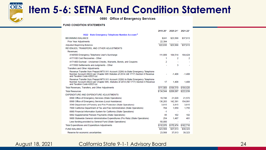

#### **Item 5-6: SETNA Fund Condition Statement**

0690 Office of Emergency Services

#### **FUND CONDITION STATEMENTS**

|                                                                                                                                                                         | 2019-20*  | $2020 - 21$ *  | $2021 - 22$ * |
|-------------------------------------------------------------------------------------------------------------------------------------------------------------------------|-----------|----------------|---------------|
| 0022 State Emergency Telephone Number Account <sup>s</sup>                                                                                                              |           |                |               |
| <b>BEGINNING BALANCE</b>                                                                                                                                                | \$241     | \$23,568       | \$37,613      |
| <b>Prior Year Adjustments</b>                                                                                                                                           | 22,394    |                |               |
| <b>Adjusted Beginning Balance</b>                                                                                                                                       | \$22,635  | \$23,568       | \$37.613      |
| REVENUES, TRANSFERS, AND OTHER ADJUSTMENTS                                                                                                                              |           |                |               |
| Revenues:                                                                                                                                                               |           |                |               |
| 4140500 Emergency Telephone User's Surcharge                                                                                                                            | 111,889   | 184,514        | 184,424       |
| 4171100 Cost Recoveries - Other                                                                                                                                         | 1         | 2              | 2             |
| 4171400 Escheat - Unclaimed Checks, Warrants, Bonds, and Coupons                                                                                                        | 2         |                |               |
| 4173500 Settlements and Judgments - Other                                                                                                                               |           | 3              |               |
| <b>Transfers and Other Adjustments</b>                                                                                                                                  |           |                |               |
| Revenue Transfer from Prepaid MTS 911 Account (3266) to State Emergency Telephone<br>Number Account (0022) per Chapter 885 Statutes of 2014 (AB 1717) Section 8 Revenue |           | $-1.408$       | $-1.408$      |
| and Taxation Code 42023 (a)<br>Revenue Transfer from Prepaid MTS 911 Account (3266) to State Emergency Telephone                                                        |           |                |               |
| Number Account (0022) per Chapter 885, Statutes of 2014 (AB 1717) Section 8 Revenue<br>and Taxation Code 42023 (a)                                                      | 17        | 1,408          | 1,408         |
| Total Revenues, Transfers, and Other Adjustments                                                                                                                        | \$111,909 | \$184,519      | \$184,426     |
| <b>Total Resources</b>                                                                                                                                                  | \$134,544 | \$208,087      | \$222,039     |
| EXPENDITURE AND EXPENDITURE ADJUSTMENTS                                                                                                                                 |           |                |               |
| 0690 Office of Emergency Services (State Operations)                                                                                                                    | 19,746    | 21,020         | 21,572        |
| 0690 Office of Emergency Services (Local Assistance)                                                                                                                    | 136,283   | 142.391        | 154,991       |
| 3540 Department of Forestry and Fire Protection (State Operations)                                                                                                      | 3.815     | 3,815          | 3,815         |
| 7600 California Department of Tax and Fee Administration (State Operations)                                                                                             | 784       | 1,659          | 1,755         |
| 8880 Financial Information System for California (State Operations)                                                                                                     | $-1$      | ٠              |               |
| 9892 Supplemental Pension Payments (State Operations)                                                                                                                   | 95        | 102            | 102           |
| 9900 Statewide General Administrative Expenditures (Pro Rata) (State Operations)                                                                                        | 254       | 1.487          | 481           |
| Less funding provided by General Fund (State Operations)                                                                                                                | $-50.000$ | $\blacksquare$ |               |
| <b>Total Expenditures and Expenditure Adjustments</b>                                                                                                                   | \$110,976 | \$170,474      | \$182,716     |
| <b>FUND BALANCE</b>                                                                                                                                                     | \$23,568  | \$37,613       | \$39,323      |
| Reserve for economic uncertainties                                                                                                                                      | 23,568    | 37,613         | 39,323        |

August 18, 2021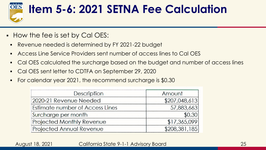

### **Item 5-6: 2021 SETNA Fee Calculation**

- How the fee is set by Cal OES:
	- Revenue needed is determined by FY 2021-22 budget
	- Access Line Service Providers sent number of access lines to Cal OES
	- Cal OES calculated the surcharge based on the budget and number of access lines
	- Cal OES sent letter to CDTFA on September 29, 2020
	- For calendar year 2021, the recommend surcharge is \$0.30

| Description                      | Amount        |
|----------------------------------|---------------|
| 2020-21 Revenue Needed           | \$207,048,613 |
| Estimate number of Access Lines  | 57,883,663    |
| Surcharge per month              | \$0.30        |
| <b>Projected Monthly Revenue</b> | \$17,365,099  |
| <b>Projected Annual Revenue</b>  | \$208,381,185 |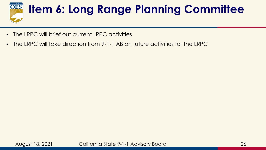

# **Item 6: Long Range Planning Committee**

- The LRPC will brief out current LRPC activities
- The LRPC will take direction from 9-1-1 AB on future activities for the LRPC

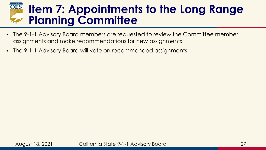#### **OES Item 7: Appointments to the Long Range Planning Committee**

- The 9-1-1 Advisory Board members are requested to review the Committee member assignments and make recommendations for new assignments
- The 9-1-1 Advisory Board will vote on recommended assignments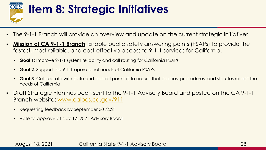

### **Item 8: Strategic Initiatives**

- The 9-1-1 Branch will provide an overview and update on the current strategic initiatives
- **Mission of CA 9-1-1 Branch**: Enable public safety answering points (PSAPs) to provide the fastest, most reliable, and cost-effective access to 9-1-1 services for California.
	- **Goal 1:** Improve 9-1-1 system reliability and call routing for California PSAPs
	- **Goal 2:** Support the 9-1-1 operational needs of California PSAPs
	- **Goal 3**: Collaborate with state and federal partners to ensure that policies, procedures, and statutes reflect the needs of California
- Draft Strategic Plan has been sent to the 9-1-1 Advisory Board and posted on the CA 9-1-1 Branch website: [www.caloes.ca.gov/911](http://www.caloes.ca.gov/911)
	- Requesting feedback by September 30 ,2021
	- Vote to approve at Nov 17, 2021 Advisory Board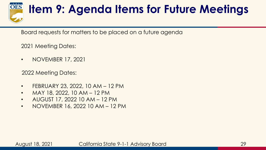

## **Item 9: Agenda Items for Future Meetings**

Board requests for matters to be placed on a future agenda

2021 Meeting Dates:

• NOVEMBER 17, 2021

2022 Meeting Dates:

- FEBRUARY 23, 2022, 10 AM 12 PM
- MAY 18, 2022, 10 AM  $-$  12 PM
- AUGUST 17, 2022 10 AM 12 PM
- NOVEMBER 16, 2022 10 AM 12 PM

August 18, 2021 California State 9-1-1 Advisory Board 29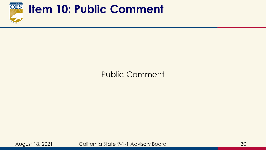

#### **Item 10: Public Comment**

#### Public Comment

August 18, 2021 California State 9-1-1 Advisory Board 30